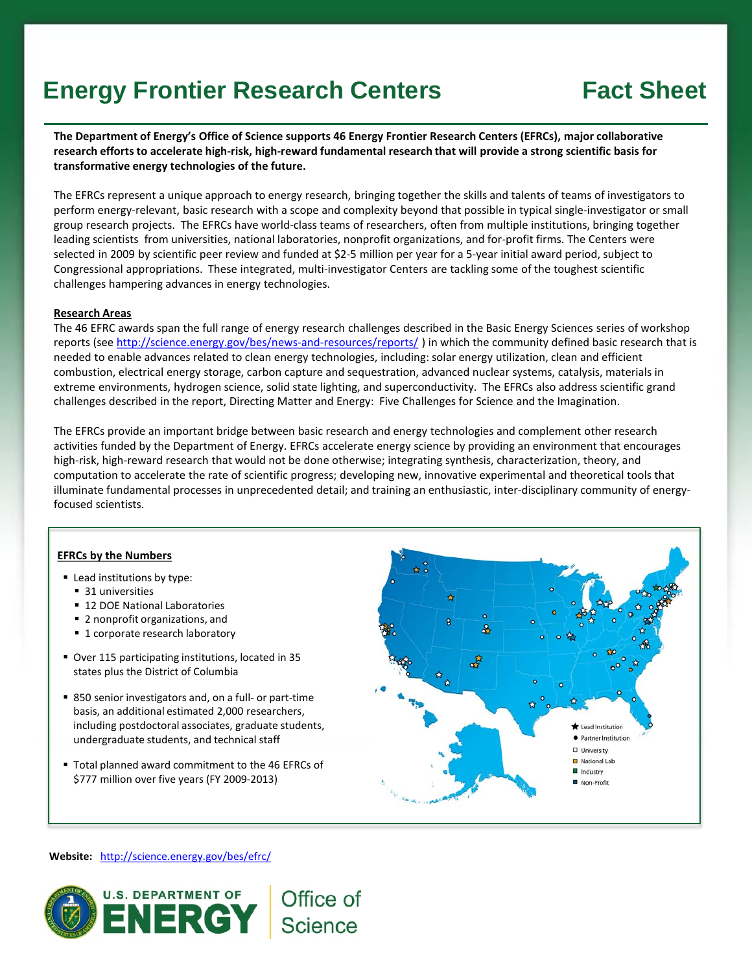## **Energy Frontier Research Centers Fact Sheet**

**The Department of Energy's Office of Science supports 46 Energy Frontier Research Centers (EFRCs), major collaborative research efforts to accelerate high-risk, high-reward fundamental research that will provide a strong scientific basis for transformative energy technologies of the future.** 

The EFRCs represent a unique approach to energy research, bringing together the skills and talents of teams of investigators to perform energy-relevant, basic research with a scope and complexity beyond that possible in typical single-investigator or small group research projects. The EFRCs have world-class teams of researchers, often from multiple institutions, bringing together leading scientists from universities, national laboratories, nonprofit organizations, and for-profit firms. The Centers were selected in 2009 by scientific peer review and funded at \$2-5 million per year for a 5-year initial award period, subject to Congressional appropriations. These integrated, multi-investigator Centers are tackling some of the toughest scientific challenges hampering advances in energy technologies.

#### **Research Areas**

The 46 EFRC awards span the full range of energy research challenges described in the Basic Energy Sciences series of workshop reports (see <http://science.energy.gov/bes/news-and-resources/reports/>) in which the community defined basic research that is needed to enable advances related to clean energy technologies, including: solar energy utilization, clean and efficient combustion, electrical energy storage, carbon capture and sequestration, advanced nuclear systems, catalysis, materials in extreme environments, hydrogen science, solid state lighting, and superconductivity. The EFRCs also address scientific grand challenges described in the report, Directing Matter and Energy: Five Challenges for Science and the Imagination.

The EFRCs provide an important bridge between basic research and energy technologies and complement other research activities funded by the Department of Energy. EFRCs accelerate energy science by providing an environment that encourages high-risk, high-reward research that would not be done otherwise; integrating synthesis, characterization, theory, and computation to accelerate the rate of scientific progress; developing new, innovative experimental and theoretical tools that illuminate fundamental processes in unprecedented detail; and training an enthusiastic, inter-disciplinary community of energyfocused scientists.

Office of

**Science** 

### **EFRCs by the Numbers**

- Lead institutions by type:
	- 31 universities
	- **12 DOE National Laboratories**
	- 2 nonprofit organizations, and
	- **1** corporate research laboratory
- Over 115 participating institutions, located in 35 states plus the District of Columbia
- 850 senior investigators and, on a full- or part-time basis, an additional estimated 2,000 researchers, including postdoctoral associates, graduate students, undergraduate students, and technical staff
- Total planned award commitment to the 46 EFRCs of \$777 million over five years (FY 2009-2013)



**Website:** <http://science.energy.gov/bes/efrc/>